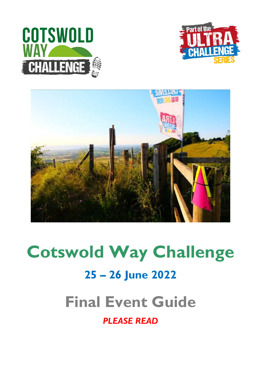





# **Cotswold Way Challenge**

# **25 – 26 June 2022**

**Final Event Guide**

*PLEASE READ*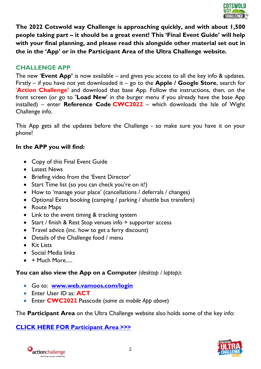

**The 2022 Cotswold way Challenge is approaching quickly, and with about 1,500 people taking part – it should be a great event! This 'Final Event Guide' will help with your final planning, and please read this alongside other material set out in the in the 'App' or in the Participant Area of the Ultra Challenge website.**

#### **CHALLENGE APP**

The new '**Event App'** is now available – and gives you access to all the key info & updates. Firstly – if you have not yet downloaded it – go to the **Apple / Google Store**, search for '**Action Challenge'** and download that base App. Follow the instructions, then, on the front screen (or go to **'Load New**' in the burger menu if you already have the base App installed) – enter **Reference Code CWC2022** – which downloads the Isle of Wight Challenge info.

This App gets all the updates before the Challenge - so make sure you have it on your phone!

#### **In the APP you will find:**

- Copy of this Final Event Guide
- Latest News
- Briefing video from the 'Event Director'
- Start Time list (so you can check you're on it!)
- How to 'manage your place' (cancellations / deferrals / changes)
- Optional Extra booking (camping / parking / shuttle bus transfers)
- Route Maps
- Link to the event timing & tracking system
- Start / finish & Rest Stop venues info + supporter access
- Travel advice (inc. how to get a ferry discount)
- Details of the Challenge food / menu
- Kit Lists
- Social Media links
- $+$  Much More.....

#### **You can also view the App on a Computer** *(desktop / laptop)***:**

- Go to: **[www.web.vamoos.com/login](http://www.web.vamoos.com/login)**
- Enter User ID as: **ACT**
- Enter **CWC2022** Passcode (*same as mobile App above*)

The **Participant Area** on the Ultra Challenge website also holds some of the key info:

#### **[CLICK HERE FOR Participant Area >>>](https://www.ultrachallenge.com/participant-area/cotswold-way-participant-area/)**



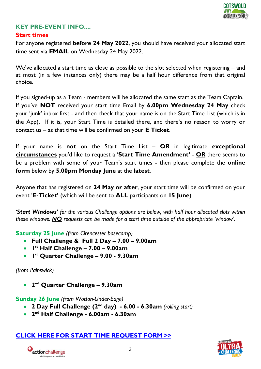

#### **KEY PRE-EVENT INFO....**

#### **Start times**

For anyone registered **before 24 May 2022**, you should have received your allocated start time sent via **EMAIL** on Wednesday 24 May 2022.

We've allocated a start time as close as possible to the slot selected when registering – and at most (in a few instances only) there may be a half hour difference from that original choice.

If you signed-up as a Team - members will be allocated the same start as the Team Captain. If you've **NOT** received your start time Email by **6.00pm Wednesday 24 May** check your 'junk' inbox first - and then check that your name is on the Start Time List (which is in the App). If it is, your Start Time is detailed there, and there's no reason to worry or contact us – as that time will be confirmed on your **E Ticket**.

If your name is **not** on the Start Time List – **OR** in legitimate **exceptional circumstances** you'd like to request a '**Start Time Amendment'** - **OR** there seems to be a problem with some of your Team's start times - then please complete the **online form** below by **5.00pm Monday June** at the **latest**.

Anyone that has registered on **24 May or after**, your start time will be confirmed on your event '**E-Ticket'** (which will be sent to **ALL** participants on **15 June**).

*'Start Windows' for the various Challenge options are below, with half hour allocated slots within these windows. NO requests can be made for a start time outside of the appropriate 'window'.*

**Saturday 25 June** *(from Cirencester basecamp)*

- **Full Challenge & Full 2 Day – 7.00 – 9.00am**
- **1 st Half Challenge – 7.00 – 9.00am**
- **1 st Quarter Challenge – 9.00 - 9.30am**

#### *(from Painswick)*

**2 nd Quarter Challenge – 9.30am**

**Sunday 26 June** *(from Wotton-Under-Edge)*

- **2 Day Full Challenge (2nd day) - 6.00 - 6.30am** *(rolling start)*
- **2 nd Half Challenge - 6.00am - 6.30am**

#### **[CLICK HERE FOR START TIME REQUEST FORM >>](https://airtable.com/shr9GMJbUiB4N5EI8)**

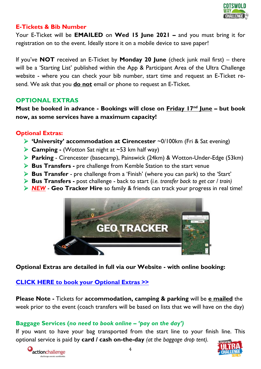

#### **E-Tickets & Bib Number**

Your E-Ticket will be **EMAILED** on **Wed 15 June 2021 –** and you must bring it for registration on to the event. Ideally store it on a mobile device to save paper!

If you've **NOT** received an E-Ticket by **Monday 20 June** (check junk mail first) – there will be a 'Starting List' published within the App & Participant Area of the Ultra Challenge website - where you can check your bib number, start time and request an E-Ticket resend. We ask that you **do not** email or phone to request an E-Ticket.

#### **OPTIONAL EXTRAS**

**Must be booked in advance - Bookings will close on Friday 17nd June – but book now, as some services have a maximum capacity!**

#### **Optional Extras:**

- **'University' accommodation at Cirencester** ~0/100km (Fri & Sat evening)
- **Camping -** (Wotton Sat night at ~53 km half way)
- **Parking**  Cirencester (basecamp), Painswick (24km) & Wotton-Under-Edge (53km)
- **Bus Transfers -** pre challenge from Kemble Station to the start venue
- **Bus Transfer** pre challenge from a 'Finish' (where you can park) to the 'Start'
- **Bus Transfers -** post challenge back to start (*i.e. transfer back to get car / train)*
- *NEW* **Geo Tracker Hire** so family & friends can track your progress in real time!



**Optional Extras are detailed in full via our Website - with online booking:**

**[CLICK HERE to book your Optional Extras >>](https://www.ultrachallenge.com/cotswold-way-challenge/bookable-extras/)**

**Please Note -** Tickets for **accommodation, camping & parking** will be **e mailed** the week prior to the event (coach transfers will be based on lists that we will have on the day)

#### **Baggage Services (***no need to book online – 'pay on the day')*

If you want to have your bag transported from the start line to your finish line. This optional service is paid by **card / cash on-the-day** *(at the baggage drop tent).*



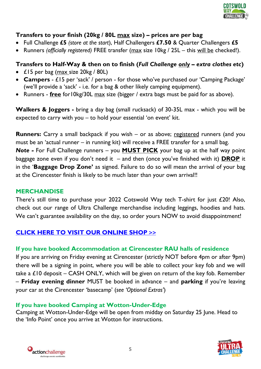

#### **Transfers to your finish (20kg / 80L max size) – prices are per bag**

- Full Challenge **£5** *(store at the start*), Half Challengers **£7.50** & Quarter Challengers **£5**
- Runners *(officially registered)* FREE transfer (max size 10kg / 25L this will be checked!).

### **Transfers to Half-Way & then on to finish (***Full Challenge only – extra clothes etc***)**

- £15 per bag (max size 20 kg / 80 L)
- **Campers** £15 per 'sack' / person for those who've purchased our 'Camping Package' (we'll provide a 'sack' - i.e. for a bag & other likely camping equipment).
- Runners **free** for10kg/30L max size (bigger / extra bags must be paid for as above).

**Walkers & Joggers -** bring a day bag (small rucksack) of 30-35L max - which you will be expected to carry with you – to hold your essential 'on event' kit.

**Runners:** Carry a small backpack if you wish – or as above; registered runners (and you must be an 'actual runner – in running kit) will receive a FREE transfer for a small bag. *Note -* For Full Challenge runners – you **MUST PICK** your bag up at the half way point baggage zone even if you don't need it – and then (once you've finished with it) **DROP** it in the '**Baggage Drop Zone'** as signed. Failure to do so will mean the arrival of your bag at the Cirencester finish is likely to be much later than your own arrival!!

#### **MERCHANDISE**

There's still time to purchase your 2022 Cotswold Way tech T-shirt for just £20! Also, check out our range of Ultra Challenge merchandise including leggings, hoodies and hats. We can't guarantee availability on the day, so order yours NOW to avoid disappointment!

# **[CLICK HERE TO VISIT OUR ONLINE SHOP](https://action-challenge-store.myshopify.com/) >>**

#### **If you have booked Accommodation at Cirencester RAU halls of residence**

If you are arriving on Friday evening at Cirencester (strictly NOT before 4pm or after 9pm) there will be a signing in point, where you will be able to collect your key fob and we will take a  $£10$  deposit – CASH ONLY, which will be given on return of the key fob. Remember – **Friday evening dinner** MUST be booked in advance – and **parking** if you're leaving your car at the Cirencester 'basecamp' (*see 'Optional Extras'*)

#### **If you have booked Camping at Wotton-Under-Edge**

Camping at Wotton-Under-Edge will be open from midday on Saturday 25 June. Head to the 'Info Point' once you arrive at Wotton for instructions.



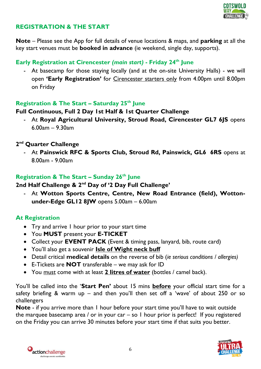

#### **REGISTRATION & THE START**

**Note** – Please see the App for full details of venue locations & maps, and **parking** at all the key start venues must be **booked in advance** (ie weekend, single day, supports).

#### **Early Registration at Cirencester** *(main start)* **- Friday 24th June**

- At basecamp for those staying locally (and at the on-site University Halls) - we will open **'Early Registration'** for Cirencester starters only from 4.00pm until 8.00pm on Friday

#### **Registration & The Start – Saturday 25th June**

#### **Full Continuous, Full 2 Day 1st Half & 1st Quarter Challenge**

- At **Royal Agricultural University, Stroud Road, Cirencester GL7 6JS** opens 6.00am – 9.30am

#### **2 nd Quarter Challenge**

- At **Painswick RFC & Sports Club, Stroud Rd, Painswick, GL6 6RS** opens at 8.00am - 9.00am

# **Registration & The Start – Sunday 26th June**

#### **2nd Half Challenge & 2nd Day of '2 Day Full Challenge'**

- At **Wotton Sports Centre, Centre, New Road Entrance (field), Wottonunder-Edge GL12 8JW** opens 5.00am – 6.00am

#### **At Registration**

- Try and arrive 1 hour prior to your start time
- You **MUST** present your **E-TICKET**
- Collect your **EVENT PACK** (Event & timing pass, lanyard, bib, route card)
- You'll also get a souvenir **Isle of Wight neck buff**
- Detail critical **medical details** on the reverse of bib (*ie serious conditions / allergies)*
- E-Tickets are **NOT** transferable we may ask for ID
- You must come with at least **2 litres of water** (bottles / camel back).

You'll be called into the '**Start Pen'** about 15 mins **before** your official start time for a safety briefing & warm up – and then you'll then set off a 'wave' of about 250 or so challengers

**Note** - if you arrive more than 1 hour before your start time you'll have to wait outside the marquee basecamp area / or in your car – so 1 hour prior is perfect! If you registered on the Friday you can arrive 30 minutes before your start time if that suits you better.



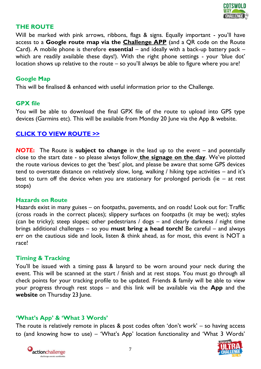

#### **THE ROUTE**

Will be marked with pink arrows, ribbons, flags & signs. Equally important - you'll have access to a **Google route map via the Challenge APP** (and a QR code on the Route Card). A mobile phone is therefore **essential** – and ideally with a back-up battery pack – which are readily available these days!). With the right phone settings - your 'blue dot' location shows up relative to the route – so you'll always be able to figure where you are!

#### **Google Map**

This will be finalised & enhanced with useful information prior to the Challenge.

#### **GPX file**

You will be able to download the final GPX file of the route to upload into GPS type devices (Garmins etc). This will be available from Monday 20 June via the App & website.

#### **[CLICK TO VIEW ROUTE >>](https://www.google.com/maps/d/embed?mid=11ripJugYZGFpeEEISFUihvZKwDPt4kBM&ehbc=2E312F%22%20width=%22640%22%20height=%22480)**

*NOTE***:** The Route is **subject to change** in the lead up to the event – and potentially close to the start date - so please always follow **the signage on the day**. We've plotted the route various devices to get the 'best' plot, and please be aware that some GPS devices tend to overstate distance on relatively slow, long, walking / hiking type activities – and it's best to turn off the device when you are stationary for prolonged periods (ie  $-$  at rest stops)

#### **Hazards on Route**

Hazards exist in many guises – on footpaths, pavements, and on roads! Look out for: Traffic (cross roads in the correct places); slippery surfaces on footpaths (it may be wet); styles (can be tricky); steep slopes; other pedestrians / dogs – and clearly darkness / night time brings additional challenges – so you **must bring a head torch!** Be careful – and always err on the cautious side and look, listen & think ahead, as for most, this event is NOT a race!

#### **Timing & Tracking**

You'll be issued with a timing pass & lanyard to be worn around your neck during the event. This will be scanned at the start / finish and at rest stops. You must go through all check points for your tracking profile to be updated. Friends & family will be able to view your progress through rest stops – and this link will be available via the **App** and the **website** on Thursday 23 June.

#### **'What's App' & 'What 3 Words'**

The route is relatively remote in places & post codes often 'don't work'  $-$  so having access to (and knowing how to use) – 'What's App' location functionality and 'What 3 Words'



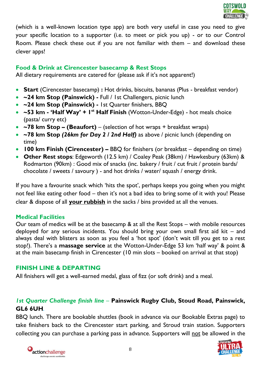

(which is a well-known location type app) are both very useful in case you need to give your specific location to a supporter (i.e. to meet or pick you up) - or to our Control Room. Please check these out if you are not familiar with them – and download these clever apps!

#### **Food & Drink at Cirencester basecamp & Rest Stops**

All dietary requirements are catered for (please ask if it's not apparent!)

- **Start** (Cirencester basecamp) **:** Hot drinks, biscuits, bananas (Plus breakfast vendor)
- **~24 km Stop (Painswick) -** Full / 1st Challengers, picnic lunch
- **~24 km Stop (Painswick) -** 1st Quarter finishers, BBQ
- ~53 km 'Half Way' + I<sup>st</sup> Half Finish (Wotton-Under-Edge) hot meals choice (pasta/ curry etc)
- **~78 km Stop – (Beaufort)** (selection of hot wraps + breakfast wraps)
- **~78 km Stop** *(26km for Day 2 / 2nd Half)* as above / picnic lunch (depending on time)
- **100 km Finish (Cirencester) –** BBQ for finishers (or breakfast depending on time)
- **Other Rest stops**: Edgeworth (12.5 km) / Coaley Peak (38km) / Hawkesbury (63km) & Rodmarton (90km) : Good mix of snacks (inc. bakery / fruit / cut fruit / protein bards/ chocolate / sweets / savoury ) - and hot drinks / water/ squash / energy drink.

If you have a favourite snack which 'hits the spot', perhaps keeps you going when you might not feel like eating other food – then it's not a bad idea to bring some of it with you! Please clear & dispose of all **your rubbish** in the sacks / bins provided at all the venues.

#### **Medical Facilities**

Our team of medics will be at the basecamp & at all the Rest Stops – with mobile resources deployed for any serious incidents. You should bring your own small first aid kit – and always deal with blisters as soon as you feel a 'hot spot' (don't wait till you get to a rest stop!). There's a **massage service** at the Wotton-Under-Edge 53 km 'half way' & point & at the main basecamp finish in Cirencester (10 min slots – booked on arrival at that stop)

#### **FINISH LINE & DEPARTING**

All finishers will get a well-earned medal, glass of fizz (or soft drink) and a meal.

# *1st Quarter Challenge finish line –* **Painswick Rugby Club, Stoud Road, Painswick, GL6 6UH***.*

BBQ lunch. There are bookable shuttles (book in advance via our Bookable Extras page) to take finishers back to the Cirencester start parking, and Stroud train station. Supporters collecting you can purchase a parking pass in advance. Supporters will not be allowed in the



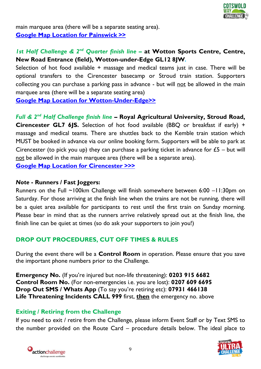

main marquee area (there will be a separate seating area). **[Google Map Location for Painswick >>](https://www.google.com/maps/place/51%C2%B046)**

## *1st Half Challenge & 2nd Quarter finish line –* **at Wotton Sports Centre, Centre, New Road Entrance (field), Wotton-under-Edge GL12 8JW***.*

Selection of hot food available + massage and medical teams just in case. There will be optional transfers to the Cirencester basecamp or Stroud train station. Supporters collecting you can purchase a parking pass in advance - but will not be allowed in the main marquee area (there will be a separate seating area)

**[Google Map Location for Wotton-Under-Edge>>](https://www.google.com/maps/place/51%C2%B038)**

*Full & 2nd Half Challenge finish line –* **Royal Agricultural University, Stroud Road, Cirencester GL7 6JS.** Selection of hot food available (BBQ or breakfast if early) + massage and medical teams. There are shuttles back to the Kemble train station which MUST be booked in advance via our online booking form. Supporters will be able to park at Cirencester (to pick you up) they can purchase a parking ticket in advance for  $\mathcal{L}5$  – but will not be allowed in the main marquee area (there will be a separate area).

**[Google Map Location for Cirencester >>>](https://www.google.com/maps/place/51%C2%B042)**

#### *Note* **- Runners / Fast Joggers:**

Runners on the Full ~100km Challenge will finish somewhere between 6:00 –11:30pm on Saturday. For those arriving at the finish line when the trains are not be running, there will be a quiet area available for participants to rest until the first train on Sunday morning. Please bear in mind that as the runners arrive relatively spread out at the finish line, the finish line can be quiet at times (so do ask your supporters to join you!)

# **DROP OUT PROCEDURES, CUT OFF TIMES & RULES**

During the event there will be a **Control Room** in operation. Please ensure that you save the important phone numbers prior to the Challenge.

**Emergency No.** (If you're injured but non-life threatening): **0203 915 6682 Control Room No.** (For non-emergencies i.e. you are lost): **0207 609 6695 Drop Out SMS / Whats App** (To say you're retiring etc): **07931 466138 Life Threatening Incidents CALL 999** first, **then** the emergency no. above

#### **Exiting / Retiring from the Challenge**

If you need to exit / retire from the Challenge, please inform Event Staff or by Text SMS to the number provided on the Route Card – procedure details below. The ideal place to



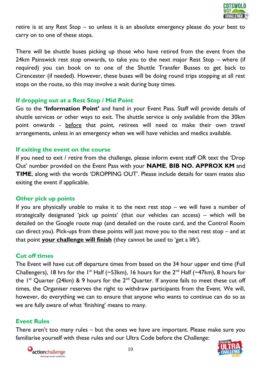

retire is at any Rest Stop – so unless it is an absolute emergency please do your best to carry on to one of these stops.

There will be shuttle buses picking up those who have retired from the event from the 24km Painswick rest stop onwards, to take you to the next major Rest Stop – where (if required) you can book on to one of the Shuttle Transfer Busses to get back to Cirencester (if needed). However, these buses will be doing round trips stopping at all rest stops on the route, so this may involve a wait during busy times.

#### **If dropping out at a Rest Stop / Mid Point**

Go to the **'Information Point'** and hand in your Event Pass. Staff will provide details of shuttle services or other ways to exit. The shuttle service is only available from the 30km point onwards - before that point, retirees will need to make their own travel arrangements, unless in an emergency when we will have vehicles and medics available.

#### **If exiting the event on the course**

If you need to exit / retire from the challenge, please inform event staff OR text the 'Drop Out' number provided on the Event Pass with your **NAME**, **BIB NO. APPROX KM** and **TIME**, along with the words 'DROPPING OUT'. Please include details for team mates also exiting the event if applicable.

#### **Other pick up points**

If you are physically unable to make it to the next rest stop – we will have a number of strategically designated 'pick up points' (that our vehicles can access) – which will be detailed on the Google route map (and detailed on the route card, and the Control Room can direct you). Pick-ups from these points will just move you to the next rest stop – and at that point **your challenge will finish** (they cannot be used to 'get a lift').

#### **Cut off times**

The Event will have cut off departure times from based on the 34 hour upper end time (Full Challengers), 18 hrs for the 1<sup>st</sup> Half (~53km), 16 hours for the  $2^{nd}$  Half (~47km), 8 hours for the  $I<sup>st</sup>$  Quarter (24km) & 9 hours for the  $2<sup>nd</sup>$  Quarter. If anyone fails to meet these cut off times, the Organiser reserves the right to withdraw participants from the Event. We will, however, do everything we can to ensure that anyone who wants to continue can do so as we are fully aware of what 'finishing' means to many.

#### **Event Rules**

There aren't too many rules – but the ones we have are important. Please make sure you familiarise yourself with these rules and our Ultra Code before the Challenge:



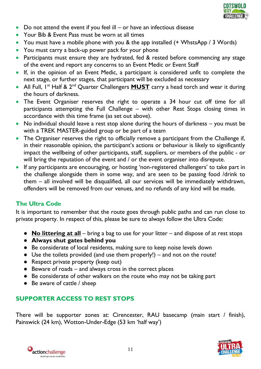

- $\bullet$  Do not attend the event if you feel ill or have an infectious disease
- Your Bib & Event Pass must be worn at all times
- You must have a mobile phone with you & the app installed (+ WhstsApp / 3 Words)
- You must carry a back-up power pack for your phone
- Participants must ensure they are hydrated, fed & rested before commencing any stage of the event and report any concerns to an Event Medic or Event Staff
- If, in the opinion of an Event Medic, a participant is considered unfit to complete the next stage, or further stages, that participant will be excluded as necessary
- All Full, 1<sup>st</sup> Half & 2<sup>nd</sup> Quarter Challengers **MUST** carry a head torch and wear it during the hours of darkness.
- The Event Organiser reserves the right to operate a 34 hour cut off time for all participants attempting the Full Challenge – with other Rest Stops closing times in accordance with this time frame (as set out above).
- No individual should leave a rest stop alone during the hours of darkness you must be with a TREK MASTER-guided group or be part of a team
- The Organiser reserves the right to officially remove a participant from the Challenge if, in their reasonable opinion, the participant's actions or behaviour is likely to significantly impact the wellbeing of other participants, staff, suppliers, or members of the public - or will bring the reputation of the event and / or the event organiser into disrepute.
- If any participants are encouraging, or hosting 'non-registered challengers' to take part in the challenge alongside them in some way, and are seen to be passing food /drink to them – all involved will be disqualified, all our services will be immediately withdrawn, offenders will be removed from our venues, and no refunds of any kind will be made.

#### **The Ultra Code**

It is important to remember that the route goes through public paths and can run close to private property. In respect of this, please be sure to always follow the Ultra Code:

- **No littering at all** bring a bag to use for your litter and dispose of at rest stops
- **Always shut gates behind you**
- Be considerate of local residents, making sure to keep noise levels down
- Use the toilets provided (and use them properly!) and not on the route!
- Respect private property (keep out)
- Beware of roads and always cross in the correct places
- Be considerate of other walkers on the route who may not be taking part
- Be aware of cattle / sheep

# **SUPPORTER ACCESS TO REST STOPS**

There will be supporter zones at: Cirencester, RAU basecamp (main start / finish), Painswick (24 km), Wotton-Under-Edge (53 km 'half way')